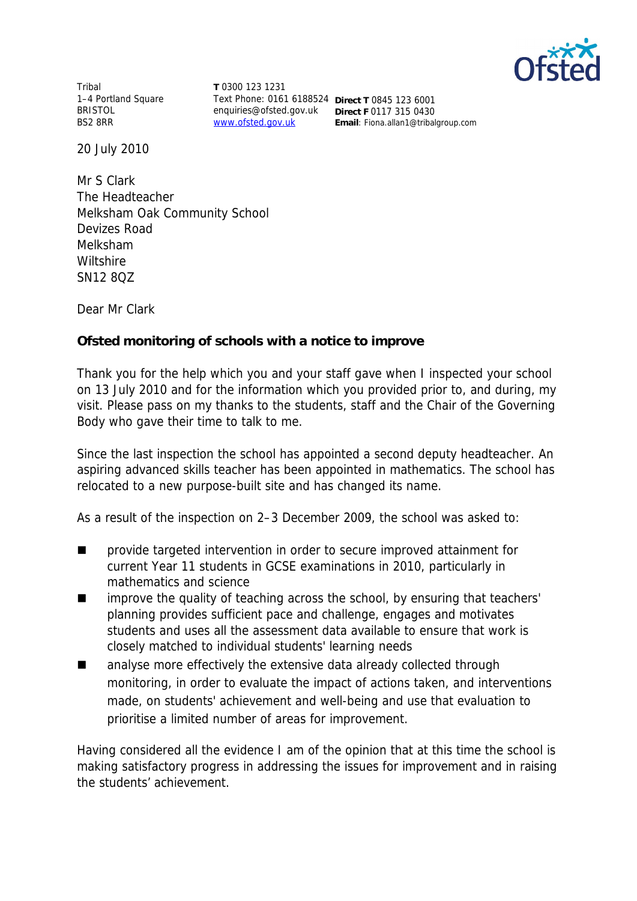

Tribal 1–4 Portland Square BRISTOL BS2 8RR

**T** 0300 123 1231 Text Phone: 0161 6188524 **Direct T** 0845 123 6001 enquiries@ofsted.gov.uk **Direct F** 0117 315 0430

www.ofsted.gov.uk **Email**: Fiona.allan1@tribalgroup.com

20 July 2010

Mr S Clark The Headteacher Melksham Oak Community School Devizes Road Melksham **Wiltshire** SN12 8QZ

Dear Mr Clark

**Ofsted monitoring of schools with a notice to improve**

Thank you for the help which you and your staff gave when I inspected your school on 13 July 2010 and for the information which you provided prior to, and during, my visit*.* Please pass on my thanks to the students, staff and the Chair of the Governing Body who gave their time to talk to me.

Since the last inspection the school has appointed a second deputy headteacher. An aspiring advanced skills teacher has been appointed in mathematics. The school has relocated to a new purpose-built site and has changed its name.

As a result of the inspection on 2–3 December 2009, the school was asked to:

- provide targeted intervention in order to secure improved attainment for current Year 11 students in GCSE examinations in 2010, particularly in mathematics and science
- improve the quality of teaching across the school, by ensuring that teachers' planning provides sufficient pace and challenge, engages and motivates students and uses all the assessment data available to ensure that work is closely matched to individual students' learning needs
- analyse more effectively the extensive data already collected through monitoring, in order to evaluate the impact of actions taken, and interventions made, on students' achievement and well-being and use that evaluation to prioritise a limited number of areas for improvement.

Having considered all the evidence I am of the opinion that at this time the school is making satisfactory progress in addressing the issues for improvement and in raising the students' achievement.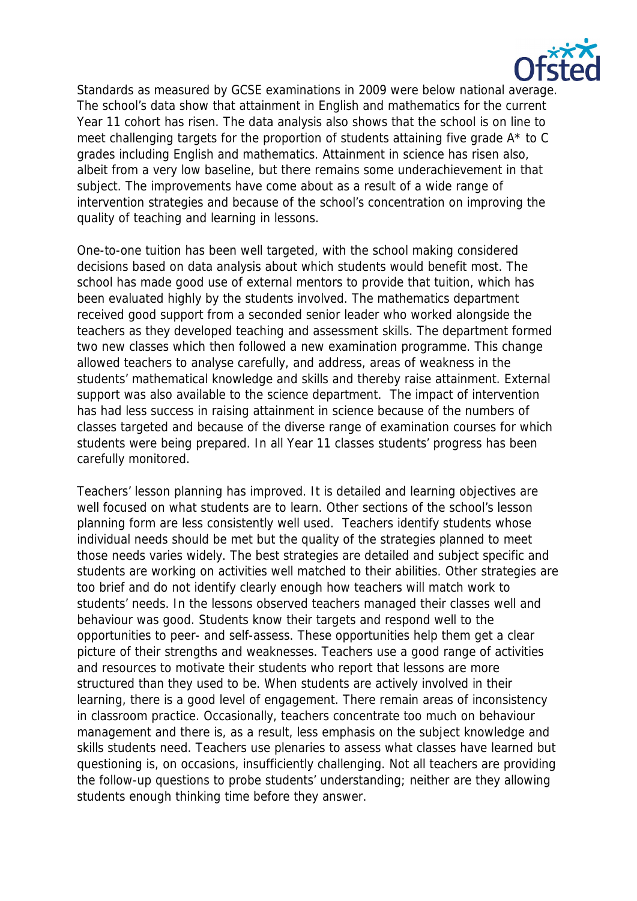

Standards as measured by GCSE examinations in 2009 were below national average. The school's data show that attainment in English and mathematics for the current Year 11 cohort has risen. The data analysis also shows that the school is on line to meet challenging targets for the proportion of students attaining five grade A\* to C grades including English and mathematics. Attainment in science has risen also, albeit from a very low baseline, but there remains some underachievement in that subject. The improvements have come about as a result of a wide range of intervention strategies and because of the school's concentration on improving the quality of teaching and learning in lessons.

One-to-one tuition has been well targeted, with the school making considered decisions based on data analysis about which students would benefit most. The school has made good use of external mentors to provide that tuition, which has been evaluated highly by the students involved. The mathematics department received good support from a seconded senior leader who worked alongside the teachers as they developed teaching and assessment skills. The department formed two new classes which then followed a new examination programme. This change allowed teachers to analyse carefully, and address, areas of weakness in the students' mathematical knowledge and skills and thereby raise attainment. External support was also available to the science department. The impact of intervention has had less success in raising attainment in science because of the numbers of classes targeted and because of the diverse range of examination courses for which students were being prepared. In all Year 11 classes students' progress has been carefully monitored.

Teachers' lesson planning has improved. It is detailed and learning objectives are well focused on what students are to learn. Other sections of the school's lesson planning form are less consistently well used. Teachers identify students whose individual needs should be met but the quality of the strategies planned to meet those needs varies widely. The best strategies are detailed and subject specific and students are working on activities well matched to their abilities. Other strategies are too brief and do not identify clearly enough how teachers will match work to students' needs. In the lessons observed teachers managed their classes well and behaviour was good. Students know their targets and respond well to the opportunities to peer- and self-assess. These opportunities help them get a clear picture of their strengths and weaknesses. Teachers use a good range of activities and resources to motivate their students who report that lessons are more structured than they used to be. When students are actively involved in their learning, there is a good level of engagement. There remain areas of inconsistency in classroom practice. Occasionally, teachers concentrate too much on behaviour management and there is, as a result, less emphasis on the subject knowledge and skills students need. Teachers use plenaries to assess what classes have learned but questioning is, on occasions, insufficiently challenging. Not all teachers are providing the follow-up questions to probe students' understanding; neither are they allowing students enough thinking time before they answer.